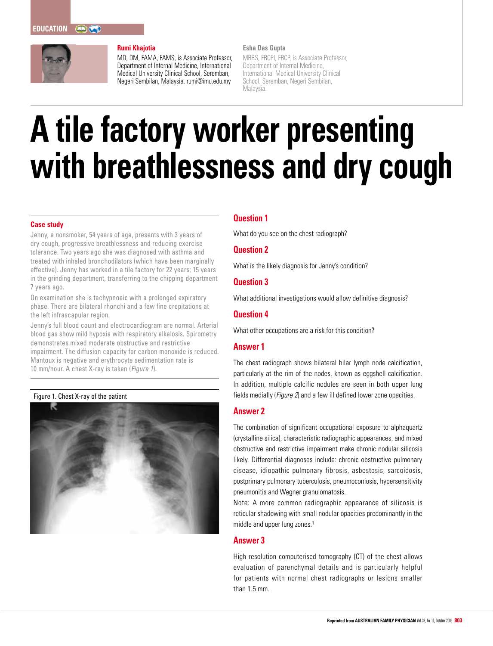

## **Rumi Khajotia**

MD, DM, FAMA, FAMS, is Associate Professor, Department of Internal Medicine, International Medical University Clinical School, Seremban, Negeri Sembilan, Malaysia. rumi@imu.edu.my

#### **Esha Das Gupta**

MBBS, FRCPI, FRCP, is Associate Professor, Department of Internal Medicine, International Medical University Clinical School, Seremban, Negeri Sembilan, Malaysia.

# **A tile factory worker presenting with breathlessness and dry cough**

### **Case study**

Jenny, a nonsmoker, 54 years of age, presents with 3 years of dry cough, progressive breathlessness and reducing exercise tolerance. Two years ago she was diagnosed with asthma and treated with inhaled bronchodilators (which have been marginally effective). Jenny has worked in a tile factory for 22 years; 15 years in the grinding department, transferring to the chipping department 7 years ago.

On examination she is tachypnoeic with a prolonged expiratory phase. There are bilateral rhonchi and a few fine crepitations at the left infrascapular region.

Jenny's full blood count and electrocardiogram are normal. Arterial blood gas show mild hypoxia with respiratory alkalosis. Spirometry demonstrates mixed moderate obstructive and restrictive impairment. The diffusion capacity for carbon monoxide is reduced. Mantoux is negative and erythrocyte sedimentation rate is 10 mm/hour. A chest X-ray is taken (Figure 1).

#### Figure 1. Chest X-ray of the patient



# **Question 1**

What do you see on the chest radiograph?

# **Question 2**

What is the likely diagnosis for Jenny's condition?

# **Question 3**

What additional investigations would allow definitive diagnosis?

# **Question 4**

What other occupations are a risk for this condition?

# **Answer 1**

The chest radiograph shows bilateral hilar lymph node calcification, particularly at the rim of the nodes, known as eggshell calcification. In addition, multiple calcific nodules are seen in both upper lung fields medially (Figure 2) and a few ill defined lower zone opacities.

### **Answer 2**

The combination of significant occupational exposure to alphaquartz (crystalline silica), characteristic radiographic appearances, and mixed obstructive and restrictive impairment make chronic nodular silicosis likely. Differential diagnoses include: chronic obstructive pulmonary disease, idiopathic pulmonary fibrosis, asbestosis, sarcoidosis, postprimary pulmonary tuberculosis, pneumoconiosis, hypersensitivity pneumonitis and Wegner granulomatosis.

Note: A more common radiographic appearance of silicosis is reticular shadowing with small nodular opacities predominantly in the middle and upper lung zones.<sup>1</sup>

### **Answer 3**

High resolution computerised tomography (CT) of the chest allows evaluation of parenchymal details and is particularly helpful for patients with normal chest radiographs or lesions smaller than 1.5 mm.